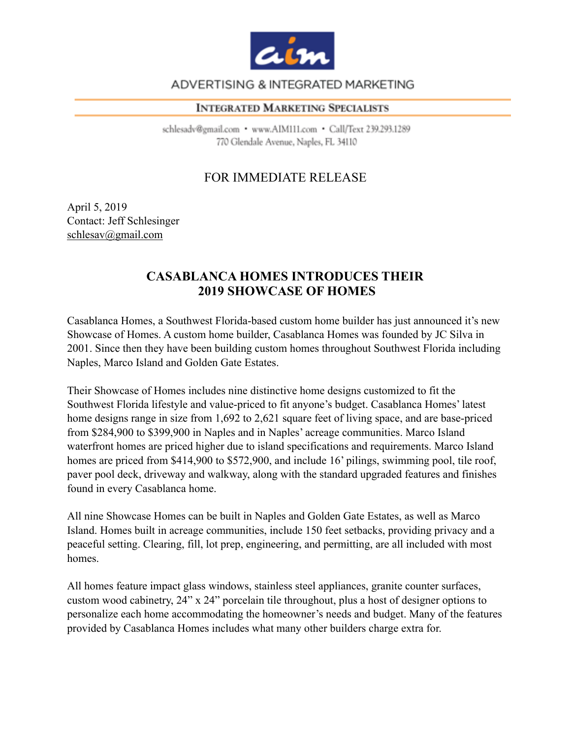

# ADVERTISING & INTEGRATED MARKETING

#### **INTEGRATED MARKETING SPECIALISTS**

schlesadv@gmail.com · www.AIM111.com · Call/Text 239.293.1289 770 Glendale Avenue, Naples, FL 34110

# FOR IMMEDIATE RELEASE

April 5, 2019 Contact: Jeff Schlesinger [schlesav@gmail.com](mailto:schlesav@gmail.com)

# **CASABLANCA HOMES INTRODUCES THEIR 2019 SHOWCASE OF HOMES**

Casablanca Homes, a Southwest Florida-based custom home builder has just announced it's new Showcase of Homes. A custom home builder, Casablanca Homes was founded by JC Silva in 2001. Since then they have been building custom homes throughout Southwest Florida including Naples, Marco Island and Golden Gate Estates.

Their Showcase of Homes includes nine distinctive home designs customized to fit the Southwest Florida lifestyle and value-priced to fit anyone's budget. Casablanca Homes' latest home designs range in size from 1,692 to 2,621 square feet of living space, and are base-priced from \$284,900 to \$399,900 in Naples and in Naples' acreage communities. Marco Island waterfront homes are priced higher due to island specifications and requirements. Marco Island homes are priced from \$414,900 to \$572,900, and include 16' pilings, swimming pool, tile roof, paver pool deck, driveway and walkway, along with the standard upgraded features and finishes found in every Casablanca home.

All nine Showcase Homes can be built in Naples and Golden Gate Estates, as well as Marco Island. Homes built in acreage communities, include 150 feet setbacks, providing privacy and a peaceful setting. Clearing, fill, lot prep, engineering, and permitting, are all included with most homes.

All homes feature impact glass windows, stainless steel appliances, granite counter surfaces, custom wood cabinetry, 24" x 24" porcelain tile throughout, plus a host of designer options to personalize each home accommodating the homeowner's needs and budget. Many of the features provided by Casablanca Homes includes what many other builders charge extra for.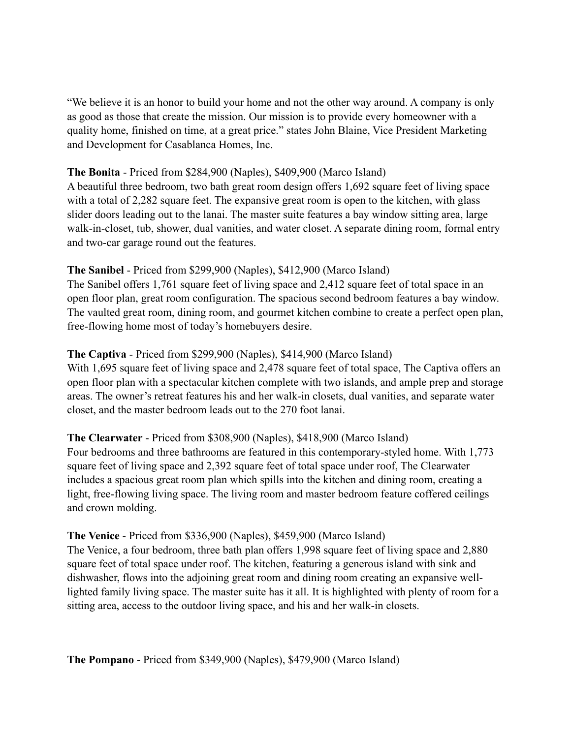"We believe it is an honor to build your home and not the other way around. A company is only as good as those that create the mission. Our mission is to provide every homeowner with a quality home, finished on time, at a great price." states John Blaine, Vice President Marketing and Development for Casablanca Homes, Inc.

#### **The Bonita** - Priced from \$284,900 (Naples), \$409,900 (Marco Island)

A beautiful three bedroom, two bath great room design offers 1,692 square feet of living space with a total of 2,282 square feet. The expansive great room is open to the kitchen, with glass slider doors leading out to the lanai. The master suite features a bay window sitting area, large walk-in-closet, tub, shower, dual vanities, and water closet. A separate dining room, formal entry and two-car garage round out the features.

## **The Sanibel** - Priced from \$299,900 (Naples), \$412,900 (Marco Island)

The Sanibel offers 1,761 square feet of living space and 2,412 square feet of total space in an open floor plan, great room configuration. The spacious second bedroom features a bay window. The vaulted great room, dining room, and gourmet kitchen combine to create a perfect open plan, free-flowing home most of today's homebuyers desire.

## **The Captiva** - Priced from \$299,900 (Naples), \$414,900 (Marco Island)

With 1,695 square feet of living space and 2,478 square feet of total space, The Captiva offers an open floor plan with a spectacular kitchen complete with two islands, and ample prep and storage areas. The owner's retreat features his and her walk-in closets, dual vanities, and separate water closet, and the master bedroom leads out to the 270 foot lanai.

#### **The Clearwater** - Priced from \$308,900 (Naples), \$418,900 (Marco Island)

Four bedrooms and three bathrooms are featured in this contemporary-styled home. With 1,773 square feet of living space and 2,392 square feet of total space under roof, The Clearwater includes a spacious great room plan which spills into the kitchen and dining room, creating a light, free-flowing living space. The living room and master bedroom feature coffered ceilings and crown molding.

#### **The Venice** - Priced from \$336,900 (Naples), \$459,900 (Marco Island)

The Venice, a four bedroom, three bath plan offers 1,998 square feet of living space and 2,880 square feet of total space under roof. The kitchen, featuring a generous island with sink and dishwasher, flows into the adjoining great room and dining room creating an expansive welllighted family living space. The master suite has it all. It is highlighted with plenty of room for a sitting area, access to the outdoor living space, and his and her walk-in closets.

**The Pompano** - Priced from \$349,900 (Naples), \$479,900 (Marco Island)